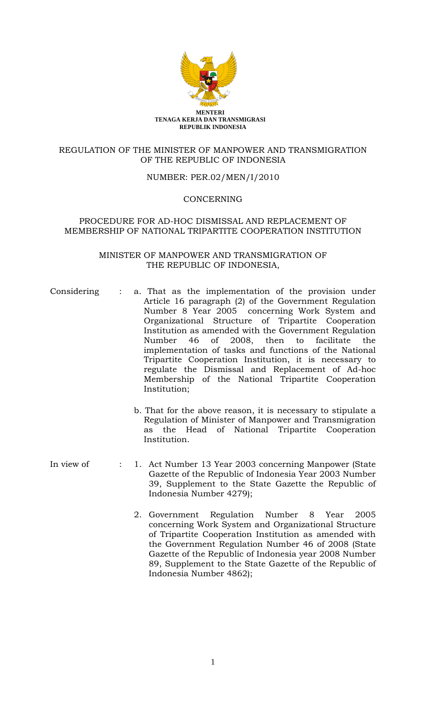

## REGULATION OF THE MINISTER OF MANPOWER AND TRANSMIGRATION OF THE REPUBLIC OF INDONESIA

### NUMBER: PER.02/MEN/I/2010

### **CONCERNING**

### PROCEDURE FOR AD-HOC DISMISSAL AND REPLACEMENT OF MEMBERSHIP OF NATIONAL TRIPARTITE COOPERATION INSTITUTION

### MINISTER OF MANPOWER AND TRANSMIGRATION OF THE REPUBLIC OF INDONESIA,

- Considering : a. That as the implementation of the provision under Article 16 paragraph (2) of the Government Regulation Number 8 Year 2005 concerning Work System and Organizational Structure of Tripartite Cooperation Institution as amended with the Government Regulation Number 46 of 2008, then to facilitate the implementation of tasks and functions of the National Tripartite Cooperation Institution, it is necessary to regulate the Dismissal and Replacement of Ad-hoc Membership of the National Tripartite Cooperation Institution;
	- b. That for the above reason, it is necessary to stipulate a Regulation of Minister of Manpower and Transmigration as the Head of National Tripartite Cooperation Institution.
- In view of : 1. Act Number 13 Year 2003 concerning Manpower (State Gazette of the Republic of Indonesia Year 2003 Number 39, Supplement to the State Gazette the Republic of Indonesia Number 4279);
	- 2. Government Regulation Number 8 Year 2005 concerning Work System and Organizational Structure of Tripartite Cooperation Institution as amended with the Government Regulation Number 46 of 2008 (State Gazette of the Republic of Indonesia year 2008 Number 89, Supplement to the State Gazette of the Republic of Indonesia Number 4862);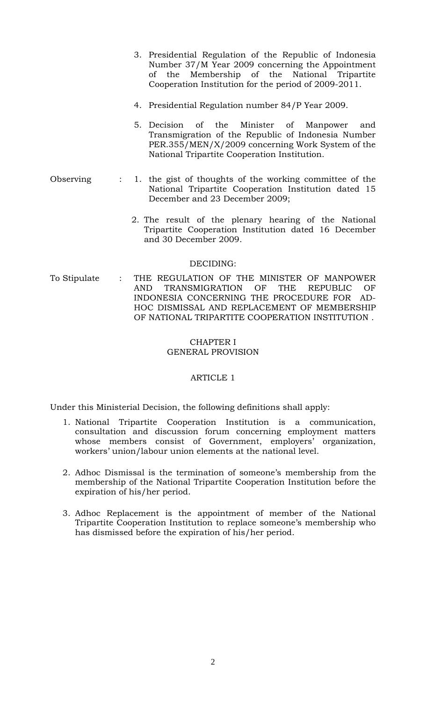|           |  | 3. Presidential Regulation of the Republic of Indonesia<br>Number 37/M Year 2009 concerning the Appointment<br>of the Membership of the National Tripartite<br>Cooperation Institution for the period of 2009-2011. |
|-----------|--|---------------------------------------------------------------------------------------------------------------------------------------------------------------------------------------------------------------------|
|           |  | 4. Presidential Regulation number 84/P Year 2009.                                                                                                                                                                   |
|           |  | 5. Decision of the Minister of Manpower and<br>Transmigration of the Republic of Indonesia Number<br>PER.355/MEN/X/2009 concerning Work System of the<br>National Tripartite Cooperation Institution.               |
| Observing |  | : 1. the gist of thoughts of the working committee of the<br>National Tripartite Cooperation Institution dated 15<br>December and 23 December 2009;                                                                 |
|           |  | 2. The result of the plenary hearing of the National<br>Tripartite Cooperation Institution dated 16 December<br>and 30 December 2009.                                                                               |
| DECIDING: |  |                                                                                                                                                                                                                     |

To Stipulate : THE REGULATION OF THE MINISTER OF MANPOWER AND TRANSMIGRATION OF THE REPUBLIC OF INDONESIA CONCERNING THE PROCEDURE FOR AD-HOC DISMISSAL AND REPLACEMENT OF MEMBERSHIP OF NATIONAL TRIPARTITE COOPERATION INSTITUTION .

### CHAPTER I GENERAL PROVISION

# ARTICLE 1

Under this Ministerial Decision, the following definitions shall apply:

- 1. National Tripartite Cooperation Institution is a communication, consultation and discussion forum concerning employment matters whose members consist of Government, employers' organization, workers' union/labour union elements at the national level.
- 2. Adhoc Dismissal is the termination of someone's membership from the membership of the National Tripartite Cooperation Institution before the expiration of his/her period.
- 3. Adhoc Replacement is the appointment of member of the National Tripartite Cooperation Institution to replace someone's membership who has dismissed before the expiration of his/her period.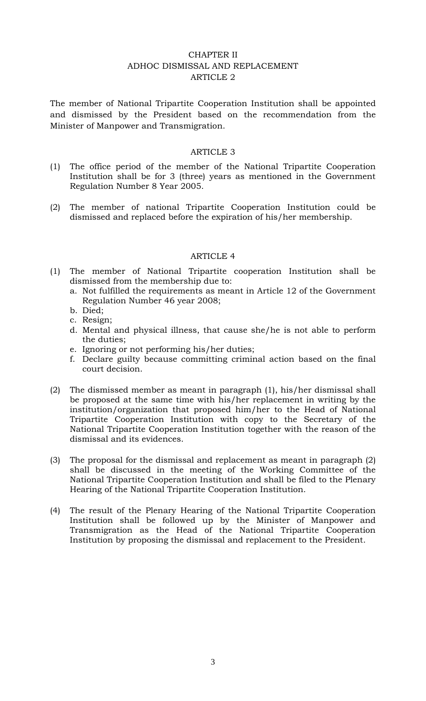# CHAPTER II ADHOC DISMISSAL AND REPLACEMENT ARTICLE 2

The member of National Tripartite Cooperation Institution shall be appointed and dismissed by the President based on the recommendation from the Minister of Manpower and Transmigration.

## ARTICLE 3

- (1) The office period of the member of the National Tripartite Cooperation Institution shall be for 3 (three) years as mentioned in the Government Regulation Number 8 Year 2005.
- (2) The member of national Tripartite Cooperation Institution could be dismissed and replaced before the expiration of his/her membership.

### ARTICLE 4

- (1) The member of National Tripartite cooperation Institution shall be dismissed from the membership due to:
	- a. Not fulfilled the requirements as meant in Article 12 of the Government Regulation Number 46 year 2008;
	- b. Died;
	- c. Resign;
	- d. Mental and physical illness, that cause she/he is not able to perform the duties;
	- e. Ignoring or not performing his/her duties;
	- f. Declare guilty because committing criminal action based on the final court decision.
- (2) The dismissed member as meant in paragraph (1), his/her dismissal shall be proposed at the same time with his/her replacement in writing by the institution/organization that proposed him/her to the Head of National Tripartite Cooperation Institution with copy to the Secretary of the National Tripartite Cooperation Institution together with the reason of the dismissal and its evidences.
- (3) The proposal for the dismissal and replacement as meant in paragraph (2) shall be discussed in the meeting of the Working Committee of the National Tripartite Cooperation Institution and shall be filed to the Plenary Hearing of the National Tripartite Cooperation Institution.
- (4) The result of the Plenary Hearing of the National Tripartite Cooperation Institution shall be followed up by the Minister of Manpower and Transmigration as the Head of the National Tripartite Cooperation Institution by proposing the dismissal and replacement to the President.